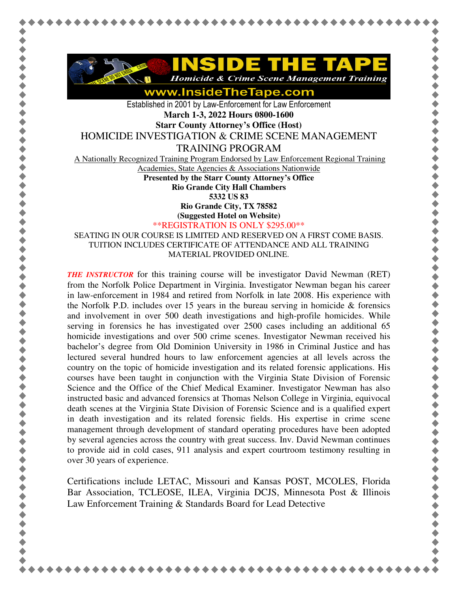

www.InsideTheTape.com

Established in 2001 by Law-Enforcement for Law Enforcement **March 1-3, 2022 Hours 0800-1600 Starr County Attorney's Office (Host)** 

HOMICIDE INVESTIGATION & CRIME SCENE MANAGEMENT

TRAINING PROGRAM

A Nationally Recognized Training Program Endorsed by Law Enforcement Regional Training

Academies, State Agencies & Associations Nationwide

**Presented by the Starr County Attorney's Office** 

**Rio Grande City Hall Chambers** 

**5332 US 83** 

**Rio Grande City, TX 78582** 

**(Suggested Hotel on Website)**

\*\*REGISTRATION IS ONLY \$295.00\*\*

SEATING IN OUR COURSE IS LIMITED AND RESERVED ON A FIRST COME BASIS. TUITION INCLUDES CERTIFICATE OF ATTENDANCE AND ALL TRAINING MATERIAL PROVIDED ONLINE.

*THE INSTRUCTOR* for this training course will be investigator David Newman (RET) from the Norfolk Police Department in Virginia. Investigator Newman began his career in law-enforcement in 1984 and retired from Norfolk in late 2008. His experience with the Norfolk P.D. includes over 15 years in the bureau serving in homicide  $\&$  forensics and involvement in over 500 death investigations and high-profile homicides. While serving in forensics he has investigated over 2500 cases including an additional 65 homicide investigations and over 500 crime scenes. Investigator Newman received his bachelor's degree from Old Dominion University in 1986 in Criminal Justice and has lectured several hundred hours to law enforcement agencies at all levels across the country on the topic of homicide investigation and its related forensic applications. His courses have been taught in conjunction with the Virginia State Division of Forensic Science and the Office of the Chief Medical Examiner. Investigator Newman has also instructed basic and advanced forensics at Thomas Nelson College in Virginia, equivocal death scenes at the Virginia State Division of Forensic Science and is a qualified expert in death investigation and its related forensic fields. His expertise in crime scene management through development of standard operating procedures have been adopted by several agencies across the country with great success. Inv. David Newman continues to provide aid in cold cases, 911 analysis and expert courtroom testimony resulting in over 30 years of experience.

Certifications include LETAC, Missouri and Kansas POST, MCOLES, Florida Bar Association, TCLEOSE, ILEA, Virginia DCJS, Minnesota Post & Illinois Law Enforcement Training & Standards Board for Lead Detective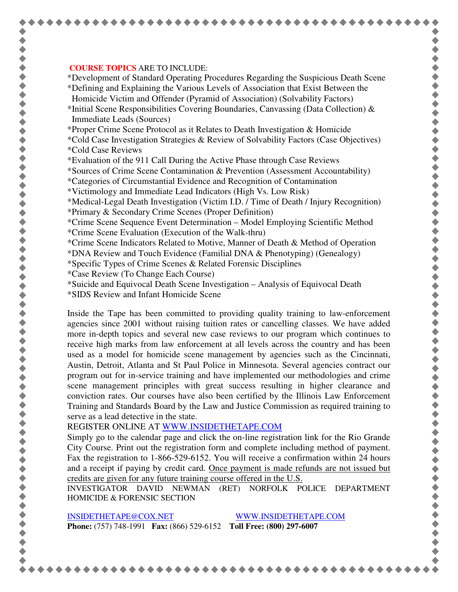## **COURSE TOPICS** ARE TO INCLUDE:

\*Development of Standard Operating Procedures Regarding the Suspicious Death Scene

\*Defining and Explaining the Various Levels of Association that Exist Between the Homicide Victim and Offender (Pyramid of Association) (Solvability Factors)

\*Initial Scene Responsibilities Covering Boundaries, Canvassing (Data Collection) & Immediate Leads (Sources)

\*Proper Crime Scene Protocol as it Relates to Death Investigation & Homicide

\*Cold Case Investigation Strategies & Review of Solvability Factors (Case Objectives) \*Cold Case Reviews

\*Evaluation of the 911 Call During the Active Phase through Case Reviews

\*Sources of Crime Scene Contamination & Prevention (Assessment Accountability)

\*Categories of Circumstantial Evidence and Recognition of Contamination

\*Victimology and Immediate Lead Indicators (High Vs. Low Risk)

\*Medical-Legal Death Investigation (Victim I.D. / Time of Death / Injury Recognition) \*Primary & Secondary Crime Scenes (Proper Definition)

\*Crime Scene Sequence Event Determination – Model Employing Scientific Method \*Crime Scene Evaluation (Execution of the Walk-thru)

\*Crime Scene Indicators Related to Motive, Manner of Death & Method of Operation

\*DNA Review and Touch Evidence (Familial DNA & Phenotyping) (Genealogy)

\*Specific Types of Crime Scenes & Related Forensic Disciplines

\*Case Review (To Change Each Course)

\*Suicide and Equivocal Death Scene Investigation – Analysis of Equivocal Death

\*SIDS Review and Infant Homicide Scene

Inside the Tape has been committed to providing quality training to law-enforcement agencies since 2001 without raising tuition rates or cancelling classes. We have added more in-depth topics and several new case reviews to our program which continues to receive high marks from law enforcement at all levels across the country and has been used as a model for homicide scene management by agencies such as the Cincinnati, Austin, Detroit, Atlanta and St Paul Police in Minnesota. Several agencies contract our program out for in-service training and have implemented our methodologies and crime scene management principles with great success resulting in higher clearance and conviction rates. Our courses have also been certified by the Illinois Law Enforcement Training and Standards Board by the Law and Justice Commission as required training to serve as a lead detective in the state.

REGISTER ONLINE AT WWW.INSIDETHETAPE.COM

Simply go to the calendar page and click the on-line registration link for the Rio Grande City Course. Print out the registration form and complete including method of payment. Fax the registration to 1-866-529-6152. You will receive a confirmation within 24 hours and a receipt if paying by credit card. Once payment is made refunds are not issued but credits are given for any future training course offered in the U.S.

INVESTIGATOR DAVID NEWMAN (RET) NORFOLK POLICE DEPARTMENT HOMICIDE & FORENSIC SECTION

INSIDETHETAPE@COX.NET WWW.INSIDETHETAPE.COM **Phone:** (757) 748-1991 **Fax:** (866) 529-6152 **Toll Free: (800) 297-6007** 

\*\*\*\*\*\*\*\*\*\*\*\*\*\*\*\*\*\*\*\*\*\*\*\*